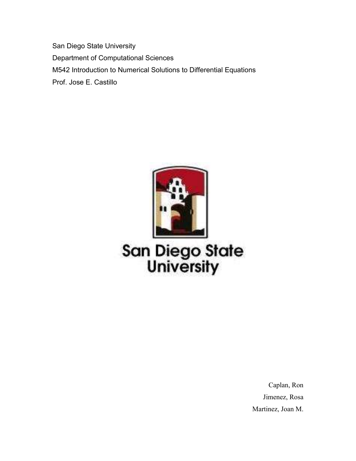San Diego State University Department of Computational Sciences M542 Introduction to Numerical Solutions to Differential Equations Prof. Jose E. Castillo



# **San Diego State<br>University**

Caplan, Ron Jimenez, Rosa Martinez, Joan M.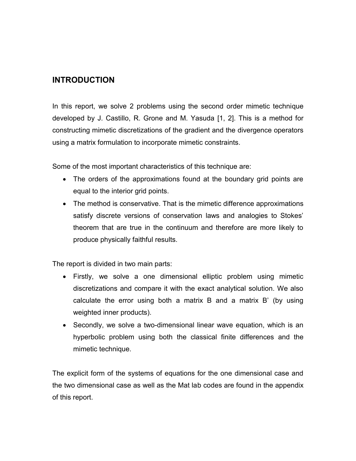## **INTRODUCTION**

In this report, we solve 2 problems using the second order mimetic technique developed by J. Castillo, R. Grone and M. Yasuda [1, 2]. This is a method for constructing mimetic discretizations of the gradient and the divergence operators using a matrix formulation to incorporate mimetic constraints.

Some of the most important characteristics of this technique are:

- The orders of the approximations found at the boundary grid points are equal to the interior grid points.
- The method is conservative. That is the mimetic difference approximations satisfy discrete versions of conservation laws and analogies to Stokes' theorem that are true in the continuum and therefore are more likely to produce physically faithful results.

The report is divided in two main parts:

- Firstly, we solve a one dimensional elliptic problem using mimetic discretizations and compare it with the exact analytical solution. We also calculate the error using both a matrix B and a matrix B' (by using weighted inner products).
- Secondly, we solve a two-dimensional linear wave equation, which is an hyperbolic problem using both the classical finite differences and the mimetic technique.

The explicit form of the systems of equations for the one dimensional case and the two dimensional case as well as the Mat lab codes are found in the appendix of this report.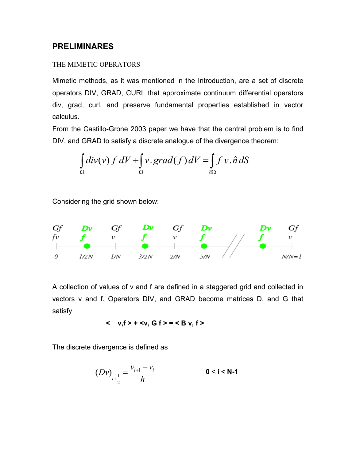### **PRELIMINARES**

#### THE MIMETIC OPERATORS

Mimetic methods, as it was mentioned in the Introduction, are a set of discrete operators DIV, GRAD, CURL that approximate continuum differential operators div, grad, curl, and preserve fundamental properties established in vector calculus.

From the Castillo-Grone 2003 paper we have that the central problem is to find DIV, and GRAD to satisfy a discrete analogue of the divergence theorem:

$$
\int_{\Omega} \text{div}(v) f \, dV + \int_{\Omega} v \cdot \text{grad}(f) \, dV = \int_{\partial \Omega} f \, v \cdot \hat{n} \, dS
$$

Considering the grid shown below:



A collection of values of v and f are defined in a staggered grid and collected in vectors v and f. Operators DIV, and GRAD become matrices D, and G that satisfy

 **< v,f > + <v, G f > = < B v, f >**

The discrete divergence is defined as

$$
(Dv)_{i+\frac{1}{2}} = \frac{v_{i+1} - v_i}{h}
$$
 0 \le i \le N-1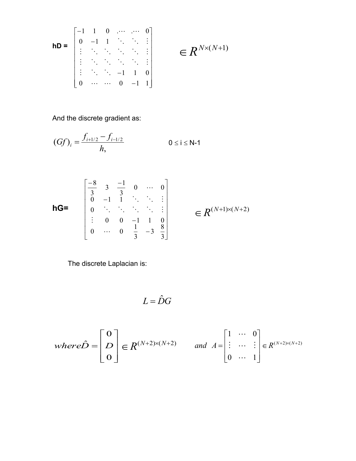$$
\mathsf{h} \mathsf{D} = \begin{bmatrix} -1 & 1 & 0 & \cdots & \cdots & 0 \\ 0 & -1 & 1 & \ddots & \ddots & \vdots \\ \vdots & \ddots & \ddots & \ddots & \ddots & \vdots \\ \vdots & \ddots & \ddots & \ddots & \ddots & \vdots \\ \vdots & \ddots & \ddots & \ddots & -1 & 1 & 0 \\ 0 & \cdots & \cdots & 0 & -1 & 1 \end{bmatrix} \in \mathbb{R}^{N \times (N+1)}
$$

And the discrete gradient as:

$$
(Gf)_i = \frac{f_{i+1/2} - f_{i-1/2}}{h}, \qquad 0 \le i \le N-1
$$
  

$$
\begin{bmatrix} \frac{-8}{3} & 3 & \frac{-1}{3} & 0 & \cdots & 0\\ 0 & -1 & 1 & \ddots & \ddots & \vdots \end{bmatrix}
$$

$$
hG=
$$

$$
\begin{bmatrix}\n\frac{3}{3} & \frac{3}{3} & \frac{3}{3} & \cdots & 0 \\
0 & -1 & 1 & \ddots & \ddots & \vdots \\
0 & \ddots & \ddots & \ddots & \ddots & \vdots \\
\vdots & 0 & 0 & -1 & 1 & 0 \\
0 & \cdots & 0 & \frac{1}{3} & -3 & \frac{8}{3}\n\end{bmatrix} \in R^{(N+1)\times(N+2)}
$$

The discrete Laplacian is:

$$
L=\hat{D}G
$$

$$
where \hat{D} = \begin{bmatrix} 0 \\ D \\ 0 \end{bmatrix} \in R^{(N+2)\times(N+2)} \quad \text{and} \quad A = \begin{bmatrix} 1 & \cdots & 0 \\ \vdots & \cdots & \vdots \\ 0 & \cdots & 1 \end{bmatrix} \in R^{(N+2)\times(N+2)}
$$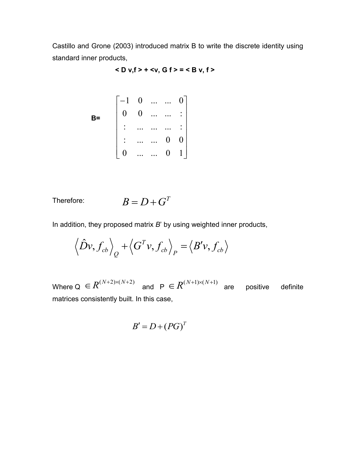Castillo and Grone (2003) introduced matrix B to write the discrete identity using standard inner products,

$$
<
$$
D v,f> +  = 

$$
\mathbf{B} = \begin{bmatrix} -1 & 0 & \dots & \dots & 0 \\ 0 & 0 & \dots & \dots & \vdots \\ \vdots & \dots & \dots & \dots & \vdots \\ \vdots & \dots & \dots & 0 & 0 \\ 0 & \dots & \dots & 0 & 1 \end{bmatrix}
$$

Therefore: 
$$
B = D + G^T
$$

In addition, they proposed matrix *B*' by using weighted inner products,

$$
\left\langle \hat{D}v, f_{cb} \right\rangle_{Q} + \left\langle G^{T}v, f_{cb} \right\rangle_{P} = \left\langle B'v, f_{cb} \right\rangle
$$

Where  $Q \in K^{(1,1,2),(1,1,2)}$  and  $P \in K^{(1,1,1),(1,1,1)}$  are positive definite matrices consistently built. In this case,  $R^{(N+2)\times(N+2)}$  and  $P \in R^{(N+1)\times(N+1)}$ 

$$
B'=D+(PG)^T
$$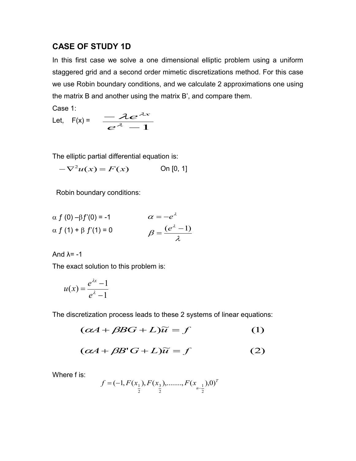## **CASE OF STUDY 1D**

In this first case we solve a one dimensional elliptic problem using a uniform staggered grid and a second order mimetic discretizations method. For this case we use Robin boundary conditions, and we calculate 2 approximations one using the matrix B and another using the matrix B', and compare them.

Case 1:

Case 1:  
Let, 
$$
F(x) = \frac{-\lambda e^{\lambda x}}{e^{\lambda} - 1}
$$

The elliptic partial differential equation is:

 $-\nabla^2 u(x) = F(x)$  On [0, 1]

Robin boundary conditions:

$$
\alpha f(0) - \beta f'(0) = -1 \qquad \alpha = -e^{\lambda}
$$
  
\n
$$
\alpha f(1) + \beta f'(1) = 0 \qquad \beta = \frac{(e^{\lambda} - 1)}{\lambda}
$$

And  $\lambda$ = -1

The exact solution to this problem is:

$$
u(x) = \frac{e^{\lambda x} - 1}{e^{\lambda} - 1}
$$

The discretization process leads to these 2 systems of linear equations:

$$
(\alpha A + \beta BG + L)\widetilde{u} = f \tag{1}
$$

$$
(\alpha A + \beta B' G + L)\widetilde{u} = f \tag{2}
$$

Where f is:

$$
f = (-1, F(x_1), F(x_3), \dots, F(x_{n-\frac{1}{2}}), 0)^T
$$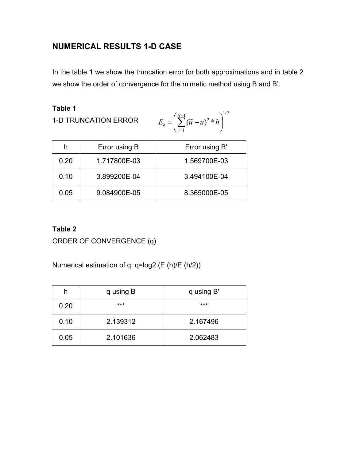# **NUMERICAL RESULTS 1-D CASE**

In the table 1 we show the truncation error for both approximations and in table 2 we show the order of convergence for the mimetic method using B and B'.

**Table 1**

1-D TRUNCATION ERROR

$$
E_h = \left(\sum_{i=1}^{N-1} (\widetilde{u} - u)^2 * h\right)^{1/2}
$$

| h    | Error using B | Error using B' |
|------|---------------|----------------|
| 0.20 | 1.717800E-03  | 1.569700E-03   |
| 0.10 | 3.899200E-04  | 3.494100E-04   |
| 0.05 | 9.084900E-05  | 8.365000E-05   |

## **Table 2**

ORDER OF CONVERGENCE (q)

Numerical estimation of q: q=log2 (E (h)/E (h/2))

| h    | q using B | q using B' |
|------|-----------|------------|
| 0.20 | ***       | ***        |
| 0.10 | 2.139312  | 2.167496   |
| 0.05 | 2.101636  | 2.062483   |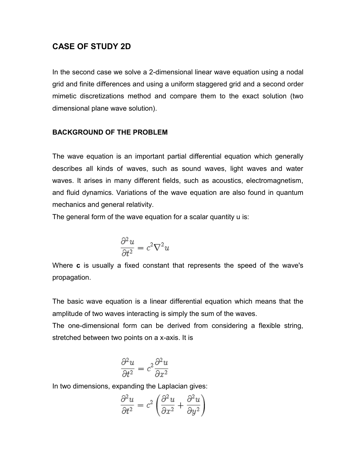## **CASE OF STUDY 2D**

In the second case we solve a 2-dimensional linear wave equation using a nodal grid and finite differences and using a uniform staggered grid and a second order mimetic discretizations method and compare them to the exact solution (two dimensional plane wave solution).

#### **BACKGROUND OF THE PROBLEM**

The wave equation is an important partial differential equation which generally describes all kinds of waves, such as sound waves, light waves and water waves. It arises in many different fields, such as acoustics, electromagnetism, and fluid dynamics. Variations of the wave equation are also found in quantum mechanics and general relativity.

The general form of the wave equation for a scalar quantity u is:

$$
\frac{\partial^2 u}{\partial t^2} = c^2 \nabla^2 u
$$

Where **c** is usually a fixed constant that represents the speed of the wave's propagation.

The basic wave equation is a linear differential equation which means that the amplitude of two waves interacting is simply the sum of the waves.

The one-dimensional form can be derived from considering a flexible string, stretched between two points on a x-axis. It is

$$
\frac{\partial^2 u}{\partial t^2} = c^2 \frac{\partial^2 u}{\partial x^2}
$$

In two dimensions, expanding the Laplacian gives:

$$
\frac{\partial^2 u}{\partial t^2} = c^2 \left( \frac{\partial^2 u}{\partial x^2} + \frac{\partial^2 u}{\partial y^2} \right)
$$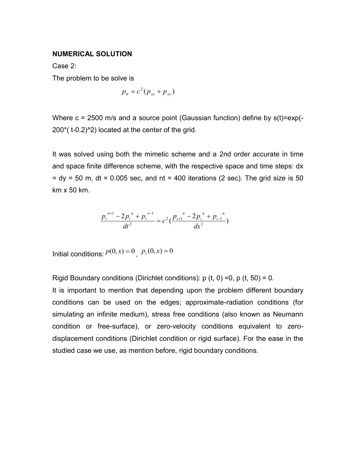#### **NUMERICAL SOLUTION**

Case 2:

The problem to be solve is

$$
p_{tt}=c^2(p_{xx}+p_{yy})
$$

Where  $c = 2500$  m/s and a source point (Gaussian function) define by  $s(t) = exp(-t)$  $200^*$  (t-0.2)^2) located at the center of the grid.

It was solved using both the mimetic scheme and a 2nd order accurate in time and space finite difference scheme, with the respective space and time steps: dx  $=$  dy  $=$  50 m, dt  $=$  0.005 sec, and nt  $=$  400 iterations (2 sec). The grid size is 50 km x 50 km.

$$
\frac{p_i^{n+1}-2p_i^{n}+p_i^{n-1}}{dt^2}=c^2(\frac{p_{i+1}^{n}-2p_i^{n}+p_{i-1}^{n}}{dx^2})
$$

Initial conditions:  $p(0, x) = 0$ ,  $p_t(0, x) = 0$ 

Rigid Boundary conditions (Dirichlet conditions):  $p(t, 0) = 0$ ,  $p(t, 50) = 0$ .

It is important to mention that depending upon the problem different boundary conditions can be used on the edges; approximate-radiation conditions (for simulating an infinite medium), stress free conditions (also known as Neumann condition or free-surface), or zero-velocity conditions equivalent to zerodisplacement conditions (Dirichlet condition or rigid surface). For the ease in the studied case we use, as mention before, rigid boundary conditions.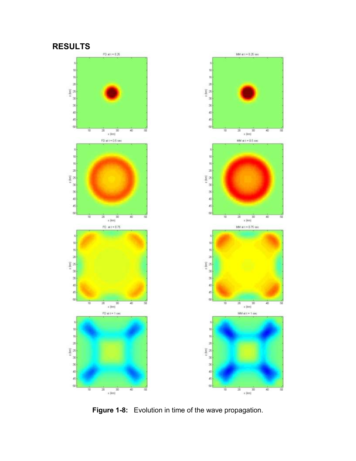## **RESULTS**



**Figure 1-8:** Evolution in time of the wave propagation.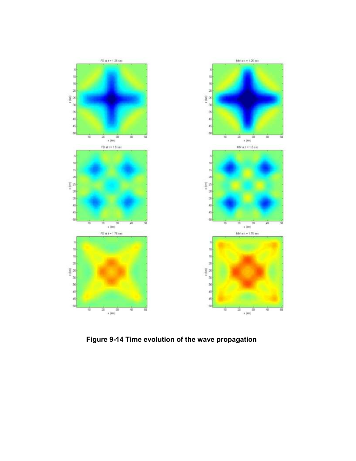

 **Figure 9-14 Time evolution of the wave propagation**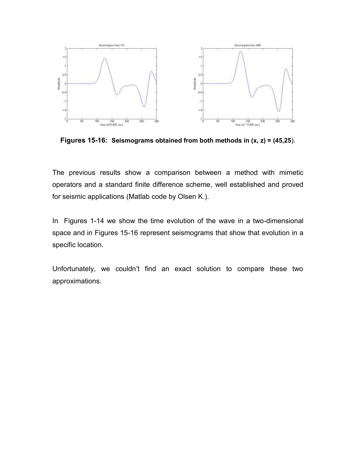

**Figures 15-16: Seismograms obtained from both methods in (x, z) = (45,25**).

The previous results show a comparison between a method with mimetic operators and a standard finite difference scheme, well established and proved for seismic applications (Matlab code by Olsen K.).

In Figures 1-14 we show the time evolution of the wave in a two-dimensional space and in Figures 15-16 represent seismograms that show that evolution in a specific location.

Unfortunately, we couldn't find an exact solution to compare these two approximations.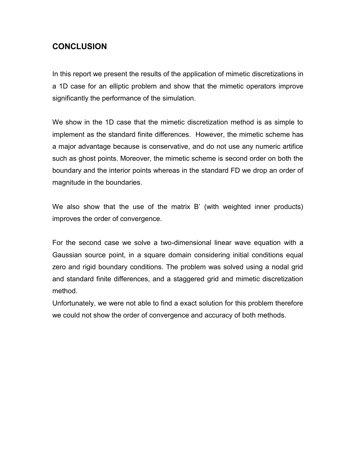# **CONCLUSION**

In this report we present the results of the application of mimetic discretizations in a 1D case for an elliptic problem and show that the mimetic operators improve significantly the performance of the simulation.

We show in the 1D case that the mimetic discretization method is as simple to implement as the standard finite differences. However, the mimetic scheme has a major advantage because is conservative, and do not use any numeric artifice such as ghost points. Moreover, the mimetic scheme is second order on both the boundary and the interior points whereas in the standard FD we drop an order of magnitude in the boundaries.

We also show that the use of the matrix B' (with weighted inner products) improves the order of convergence.

For the second case we solve a two-dimensional linear wave equation with a Gaussian source point, in a square domain considering initial conditions equal zero and rigid boundary conditions. The problem was solved using a nodal grid and standard finite differences, and a staggered grid and mimetic discretization method.

Unfortunately, we were not able to find a exact solution for this problem therefore we could not show the order of convergence and accuracy of both methods.